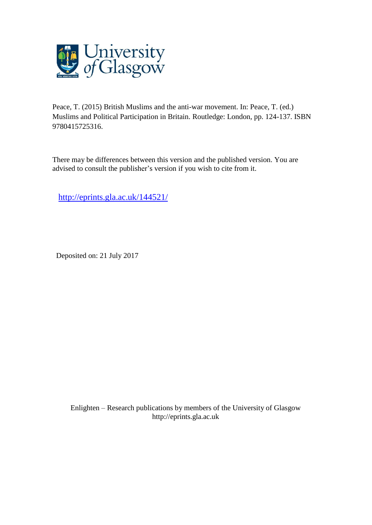

Peace, T. (2015) British Muslims and the anti-war movement. In: Peace, T. (ed.) Muslims and Political Participation in Britain. Routledge: London, pp. 124-137. ISBN 9780415725316.

There may be differences between this version and the published version. You are advised to consult the publisher's version if you wish to cite from it.

<http://eprints.gla.ac.uk/144521/>

Deposited on: 21 July 2017

Enlighten – Research publications by members of the University of Glasgo[w](http://eprints.gla.ac.uk/) [http://eprints.gla.ac.uk](http://eprints.gla.ac.uk/)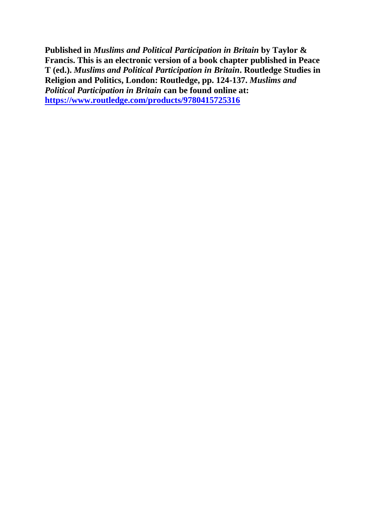**Published in** *Muslims and Political Participation in Britain* **by Taylor & Francis. This is an electronic version of a book chapter published in Peace T (ed.).** *Muslims and Political Participation in Britain***. Routledge Studies in Religion and Politics, London: Routledge, pp. 124-137.** *Muslims and Political Participation in Britain* **can be found online at: <https://www.routledge.com/products/9780415725316>**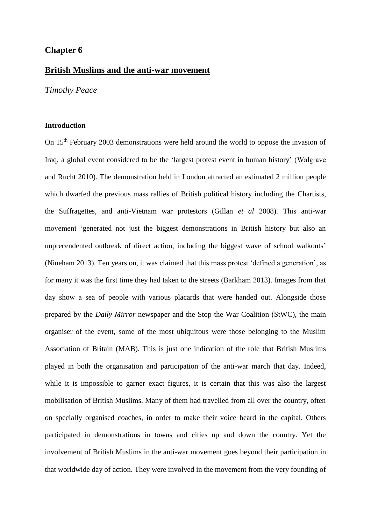# **Chapter 6**

# **British Muslims and the anti-war movement**

*Timothy Peace*

### **Introduction**

On 15th February 2003 demonstrations were held around the world to oppose the invasion of Iraq, a global event considered to be the 'largest protest event in human history' (Walgrave and Rucht 2010). The demonstration held in London attracted an estimated 2 million people which dwarfed the previous mass rallies of British political history including the Chartists, the Suffragettes, and anti-Vietnam war protestors (Gillan *et al* 2008). This anti-war movement 'generated not just the biggest demonstrations in British history but also an unprecendented outbreak of direct action, including the biggest wave of school walkouts' (Nineham 2013). Ten years on, it was claimed that this mass protest 'defined a generation', as for many it was the first time they had taken to the streets (Barkham 2013). Images from that day show a sea of people with various placards that were handed out. Alongside those prepared by the *Daily Mirror* newspaper and the Stop the War Coalition (StWC), the main organiser of the event, some of the most ubiquitous were those belonging to the Muslim Association of Britain (MAB). This is just one indication of the role that British Muslims played in both the organisation and participation of the anti-war march that day. Indeed, while it is impossible to garner exact figures, it is certain that this was also the largest mobilisation of British Muslims. Many of them had travelled from all over the country, often on specially organised coaches, in order to make their voice heard in the capital. Others participated in demonstrations in towns and cities up and down the country. Yet the involvement of British Muslims in the anti-war movement goes beyond their participation in that worldwide day of action. They were involved in the movement from the very founding of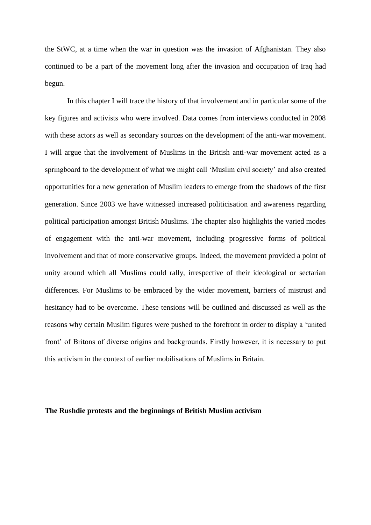the StWC, at a time when the war in question was the invasion of Afghanistan. They also continued to be a part of the movement long after the invasion and occupation of Iraq had begun.

In this chapter I will trace the history of that involvement and in particular some of the key figures and activists who were involved. Data comes from interviews conducted in 2008 with these actors as well as secondary sources on the development of the anti-war movement. I will argue that the involvement of Muslims in the British anti-war movement acted as a springboard to the development of what we might call 'Muslim civil society' and also created opportunities for a new generation of Muslim leaders to emerge from the shadows of the first generation. Since 2003 we have witnessed increased politicisation and awareness regarding political participation amongst British Muslims. The chapter also highlights the varied modes of engagement with the anti-war movement, including progressive forms of political involvement and that of more conservative groups. Indeed, the movement provided a point of unity around which all Muslims could rally, irrespective of their ideological or sectarian differences. For Muslims to be embraced by the wider movement, barriers of mistrust and hesitancy had to be overcome. These tensions will be outlined and discussed as well as the reasons why certain Muslim figures were pushed to the forefront in order to display a 'united front' of Britons of diverse origins and backgrounds. Firstly however, it is necessary to put this activism in the context of earlier mobilisations of Muslims in Britain.

### **The Rushdie protests and the beginnings of British Muslim activism**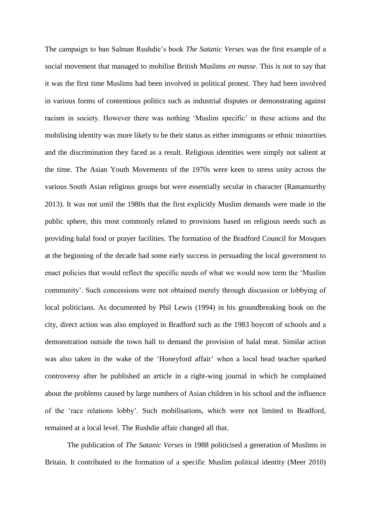The campaign to ban Salman Rushdie's book *The Satanic Verses* was the first example of a social movement that managed to mobilise British Muslims *en masse*. This is not to say that it was the first time Muslims had been involved in political protest. They had been involved in various forms of contentious politics such as industrial disputes or demonstrating against racism in society. However there was nothing 'Muslim specific' in these actions and the mobilising identity was more likely to be their status as either immigrants or ethnic minorities and the discrimination they faced as a result. Religious identities were simply not salient at the time. The Asian Youth Movements of the 1970s were keen to stress unity across the various South Asian religious groups but were essentially secular in character (Ramamurthy 2013). It was not until the 1980s that the first explicitly Muslim demands were made in the public sphere, this most commonly related to provisions based on religious needs such as providing halal food or prayer facilities. The formation of the Bradford Council for Mosques at the beginning of the decade had some early success in persuading the local government to enact policies that would reflect the specific needs of what we would now term the 'Muslim community'. Such concessions were not obtained merely through discussion or lobbying of local politicians. As documented by Phil Lewis (1994) in his groundbreaking book on the city, direct action was also employed in Bradford such as the 1983 boycott of schools and a demonstration outside the town hall to demand the provision of halal meat. Similar action was also taken in the wake of the 'Honeyford affair' when a local head teacher sparked controversy after he published an article in a right-wing journal in which he complained about the problems caused by large numbers of Asian children in his school and the influence of the 'race relations lobby'. Such mobilisations, which were not limited to Bradford, remained at a local level. The Rushdie affair changed all that.

The publication of *The Satanic Verses* in 1988 politicised a generation of Muslims in Britain. It contributed to the formation of a specific Muslim political identity (Meer 2010)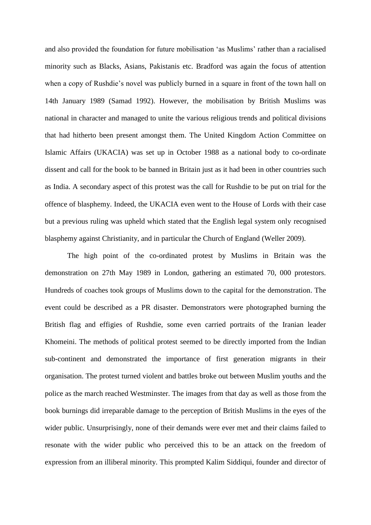and also provided the foundation for future mobilisation 'as Muslims' rather than a racialised minority such as Blacks, Asians, Pakistanis etc. Bradford was again the focus of attention when a copy of Rushdie's novel was publicly burned in a square in front of the town hall on 14th January 1989 (Samad 1992). However, the mobilisation by British Muslims was national in character and managed to unite the various religious trends and political divisions that had hitherto been present amongst them. The United Kingdom Action Committee on Islamic Affairs (UKACIA) was set up in October 1988 as a national body to co-ordinate dissent and call for the book to be banned in Britain just as it had been in other countries such as India. A secondary aspect of this protest was the call for Rushdie to be put on trial for the offence of blasphemy. Indeed, the UKACIA even went to the House of Lords with their case but a previous ruling was upheld which stated that the English legal system only recognised blasphemy against Christianity, and in particular the Church of England (Weller 2009).

The high point of the co-ordinated protest by Muslims in Britain was the demonstration on 27th May 1989 in London, gathering an estimated 70, 000 protestors. Hundreds of coaches took groups of Muslims down to the capital for the demonstration. The event could be described as a PR disaster. Demonstrators were photographed burning the British flag and effigies of Rushdie, some even carried portraits of the Iranian leader Khomeini. The methods of political protest seemed to be directly imported from the Indian sub-continent and demonstrated the importance of first generation migrants in their organisation. The protest turned violent and battles broke out between Muslim youths and the police as the march reached Westminster. The images from that day as well as those from the book burnings did irreparable damage to the perception of British Muslims in the eyes of the wider public. Unsurprisingly, none of their demands were ever met and their claims failed to resonate with the wider public who perceived this to be an attack on the freedom of expression from an illiberal minority. This prompted Kalim Siddiqui, founder and director of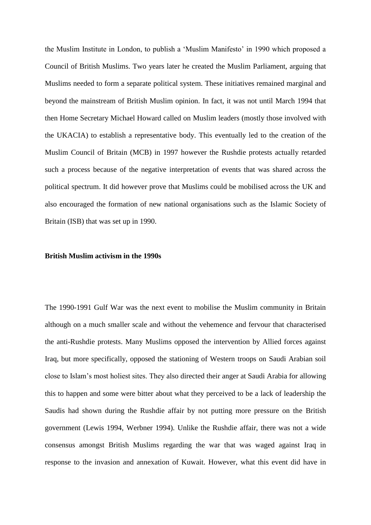the Muslim Institute in London, to publish a 'Muslim Manifesto' in 1990 which proposed a Council of British Muslims. Two years later he created the Muslim Parliament, arguing that Muslims needed to form a separate political system. These initiatives remained marginal and beyond the mainstream of British Muslim opinion. In fact, it was not until March 1994 that then Home Secretary Michael Howard called on Muslim leaders (mostly those involved with the UKACIA) to establish a representative body. This eventually led to the creation of the Muslim Council of Britain (MCB) in 1997 however the Rushdie protests actually retarded such a process because of the negative interpretation of events that was shared across the political spectrum. It did however prove that Muslims could be mobilised across the UK and also encouraged the formation of new national organisations such as the Islamic Society of Britain (ISB) that was set up in 1990.

### **British Muslim activism in the 1990s**

The 1990-1991 Gulf War was the next event to mobilise the Muslim community in Britain although on a much smaller scale and without the vehemence and fervour that characterised the anti-Rushdie protests. Many Muslims opposed the intervention by Allied forces against Iraq, but more specifically, opposed the stationing of Western troops on Saudi Arabian soil close to Islam's most holiest sites. They also directed their anger at Saudi Arabia for allowing this to happen and some were bitter about what they perceived to be a lack of leadership the Saudis had shown during the Rushdie affair by not putting more pressure on the British government (Lewis 1994, Werbner 1994). Unlike the Rushdie affair, there was not a wide consensus amongst British Muslims regarding the war that was waged against Iraq in response to the invasion and annexation of Kuwait. However, what this event did have in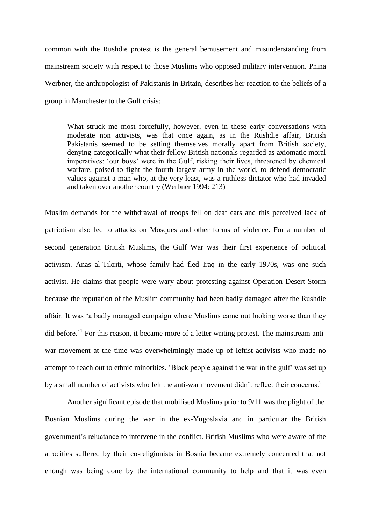common with the Rushdie protest is the general bemusement and misunderstanding from mainstream society with respect to those Muslims who opposed military intervention. Pnina Werbner, the anthropologist of Pakistanis in Britain, describes her reaction to the beliefs of a group in Manchester to the Gulf crisis:

What struck me most forcefully, however, even in these early conversations with moderate non activists, was that once again, as in the Rushdie affair, British Pakistanis seemed to be setting themselves morally apart from British society, denying categorically what their fellow British nationals regarded as axiomatic moral imperatives: 'our boys' were in the Gulf, risking their lives, threatened by chemical warfare, poised to fight the fourth largest army in the world, to defend democratic values against a man who, at the very least, was a ruthless dictator who had invaded and taken over another country (Werbner 1994: 213)

Muslim demands for the withdrawal of troops fell on deaf ears and this perceived lack of patriotism also led to attacks on Mosques and other forms of violence. For a number of second generation British Muslims, the Gulf War was their first experience of political activism. Anas al-Tikriti, whose family had fled Iraq in the early 1970s, was one such activist. He claims that people were wary about protesting against Operation Desert Storm because the reputation of the Muslim community had been badly damaged after the Rushdie affair. It was 'a badly managed campaign where Muslims came out looking worse than they did before.<sup>1</sup> For this reason, it became more of a letter writing protest. The mainstream antiwar movement at the time was overwhelmingly made up of leftist activists who made no attempt to reach out to ethnic minorities. 'Black people against the war in the gulf' was set up by a small number of activists who felt the anti-war movement didn't reflect their concerns.<sup>2</sup>

Another significant episode that mobilised Muslims prior to 9/11 was the plight of the Bosnian Muslims during the war in the ex-Yugoslavia and in particular the British government's reluctance to intervene in the conflict. British Muslims who were aware of the atrocities suffered by their co-religionists in Bosnia became extremely concerned that not enough was being done by the international community to help and that it was even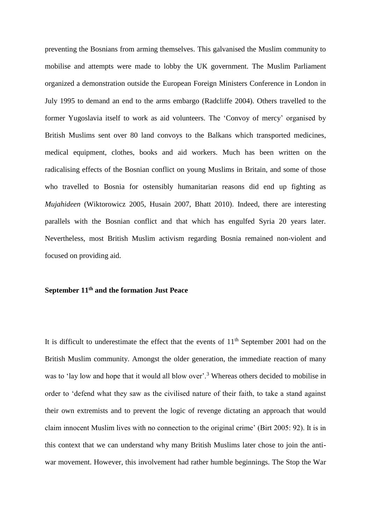preventing the Bosnians from arming themselves. This galvanised the Muslim community to mobilise and attempts were made to lobby the UK government. The Muslim Parliament organized a demonstration outside the European Foreign Ministers Conference in London in July 1995 to demand an end to the arms embargo (Radcliffe 2004). Others travelled to the former Yugoslavia itself to work as aid volunteers. The 'Convoy of mercy' organised by British Muslims sent over 80 land convoys to the Balkans which transported medicines, medical equipment, clothes, books and aid workers. Much has been written on the radicalising effects of the Bosnian conflict on young Muslims in Britain, and some of those who travelled to Bosnia for ostensibly humanitarian reasons did end up fighting as *Mujahideen* (Wiktorowicz 2005, Husain 2007, Bhatt 2010). Indeed, there are interesting parallels with the Bosnian conflict and that which has engulfed Syria 20 years later. Nevertheless, most British Muslim activism regarding Bosnia remained non-violent and focused on providing aid.

# **September 11th and the formation Just Peace**

It is difficult to underestimate the effect that the events of  $11<sup>th</sup>$  September 2001 had on the British Muslim community. Amongst the older generation, the immediate reaction of many was to 'lay low and hope that it would all blow over'.<sup>3</sup> Whereas others decided to mobilise in order to 'defend what they saw as the civilised nature of their faith, to take a stand against their own extremists and to prevent the logic of revenge dictating an approach that would claim innocent Muslim lives with no connection to the original crime' (Birt 2005: 92). It is in this context that we can understand why many British Muslims later chose to join the antiwar movement. However, this involvement had rather humble beginnings. The Stop the War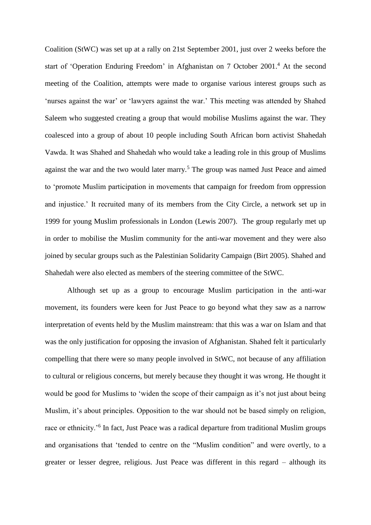Coalition (StWC) was set up at a rally on 21st September 2001, just over 2 weeks before the start of 'Operation Enduring Freedom' in Afghanistan on 7 October 2001.<sup>4</sup> At the second meeting of the Coalition, attempts were made to organise various interest groups such as 'nurses against the war' or 'lawyers against the war.' This meeting was attended by Shahed Saleem who suggested creating a group that would mobilise Muslims against the war. They coalesced into a group of about 10 people including South African born activist Shahedah Vawda. It was Shahed and Shahedah who would take a leading role in this group of Muslims against the war and the two would later marry.<sup>5</sup> The group was named Just Peace and aimed to 'promote Muslim participation in movements that campaign for freedom from oppression and injustice.' It recruited many of its members from the City Circle, a network set up in 1999 for young Muslim professionals in London (Lewis 2007). The group regularly met up in order to mobilise the Muslim community for the anti-war movement and they were also joined by secular groups such as the Palestinian Solidarity Campaign (Birt 2005). Shahed and Shahedah were also elected as members of the steering committee of the StWC.

Although set up as a group to encourage Muslim participation in the anti-war movement, its founders were keen for Just Peace to go beyond what they saw as a narrow interpretation of events held by the Muslim mainstream: that this was a war on Islam and that was the only justification for opposing the invasion of Afghanistan. Shahed felt it particularly compelling that there were so many people involved in StWC, not because of any affiliation to cultural or religious concerns, but merely because they thought it was wrong. He thought it would be good for Muslims to 'widen the scope of their campaign as it's not just about being Muslim, it's about principles. Opposition to the war should not be based simply on religion, race or ethnicity.<sup>'6</sup> In fact, Just Peace was a radical departure from traditional Muslim groups and organisations that 'tended to centre on the "Muslim condition" and were overtly, to a greater or lesser degree, religious. Just Peace was different in this regard – although its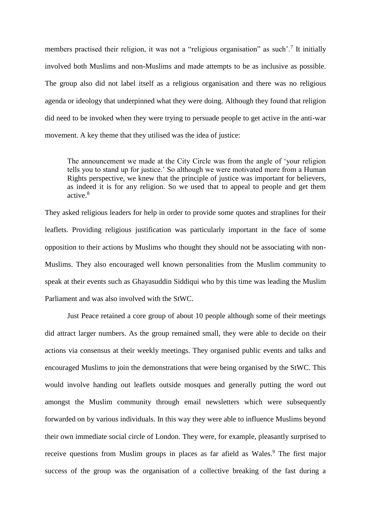members practised their religion, it was not a "religious organisation" as such'.<sup>7</sup> It initially involved both Muslims and non-Muslims and made attempts to be as inclusive as possible. The group also did not label itself as a religious organisation and there was no religious agenda or ideology that underpinned what they were doing. Although they found that religion did need to be invoked when they were trying to persuade people to get active in the anti-war movement. A key theme that they utilised was the idea of justice:

The announcement we made at the City Circle was from the angle of 'your religion tells you to stand up for justice.' So although we were motivated more from a Human Rights perspective, we knew that the principle of justice was important for believers, as indeed it is for any religion. So we used that to appeal to people and get them active.<sup>8</sup>

They asked religious leaders for help in order to provide some quotes and straplines for their leaflets. Providing religious justification was particularly important in the face of some opposition to their actions by Muslims who thought they should not be associating with non-Muslims. They also encouraged well known personalities from the Muslim community to speak at their events such as Ghayasuddin Siddiqui who by this time was leading the Muslim Parliament and was also involved with the StWC.

Just Peace retained a core group of about 10 people although some of their meetings did attract larger numbers. As the group remained small, they were able to decide on their actions via consensus at their weekly meetings. They organised public events and talks and encouraged Muslims to join the demonstrations that were being organised by the StWC. This would involve handing out leaflets outside mosques and generally putting the word out amongst the Muslim community through email newsletters which were subsequently forwarded on by various individuals. In this way they were able to influence Muslims beyond their own immediate social circle of London. They were, for example, pleasantly surprised to receive questions from Muslim groups in places as far afield as Wales.<sup>9</sup> The first major success of the group was the organisation of a collective breaking of the fast during a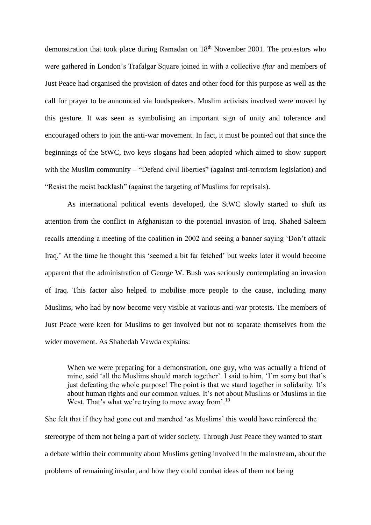demonstration that took place during Ramadan on 18<sup>th</sup> November 2001. The protestors who were gathered in London's Trafalgar Square joined in with a collective *iftar* and members of Just Peace had organised the provision of dates and other food for this purpose as well as the call for prayer to be announced via loudspeakers. Muslim activists involved were moved by this gesture. It was seen as symbolising an important sign of unity and tolerance and encouraged others to join the anti-war movement. In fact, it must be pointed out that since the beginnings of the StWC, two keys slogans had been adopted which aimed to show support with the Muslim community – "Defend civil liberties" (against anti-terrorism legislation) and "Resist the racist backlash" (against the targeting of Muslims for reprisals).

As international political events developed, the StWC slowly started to shift its attention from the conflict in Afghanistan to the potential invasion of Iraq. Shahed Saleem recalls attending a meeting of the coalition in 2002 and seeing a banner saying 'Don't attack Iraq.' At the time he thought this 'seemed a bit far fetched' but weeks later it would become apparent that the administration of George W. Bush was seriously contemplating an invasion of Iraq. This factor also helped to mobilise more people to the cause, including many Muslims, who had by now become very visible at various anti-war protests. The members of Just Peace were keen for Muslims to get involved but not to separate themselves from the wider movement. As Shahedah Vawda explains:

When we were preparing for a demonstration, one guy, who was actually a friend of mine, said 'all the Muslims should march together'. I said to him, 'I'm sorry but that's just defeating the whole purpose! The point is that we stand together in solidarity. It's about human rights and our common values. It's not about Muslims or Muslims in the West. That's what we're trying to move away from'.<sup>10</sup>

She felt that if they had gone out and marched 'as Muslims' this would have reinforced the stereotype of them not being a part of wider society. Through Just Peace they wanted to start a debate within their community about Muslims getting involved in the mainstream, about the problems of remaining insular, and how they could combat ideas of them not being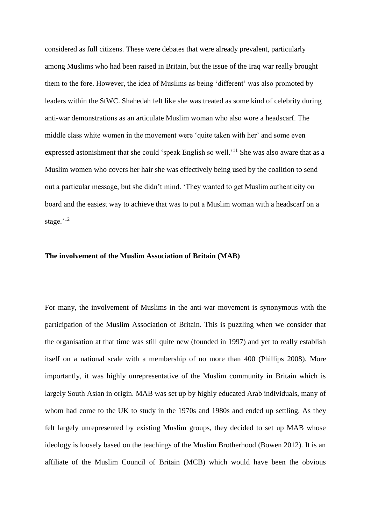considered as full citizens. These were debates that were already prevalent, particularly among Muslims who had been raised in Britain, but the issue of the Iraq war really brought them to the fore. However, the idea of Muslims as being 'different' was also promoted by leaders within the StWC. Shahedah felt like she was treated as some kind of celebrity during anti-war demonstrations as an articulate Muslim woman who also wore a headscarf. The middle class white women in the movement were 'quite taken with her' and some even expressed astonishment that she could 'speak English so well.'<sup>11</sup> She was also aware that as a Muslim women who covers her hair she was effectively being used by the coalition to send out a particular message, but she didn't mind. 'They wanted to get Muslim authenticity on board and the easiest way to achieve that was to put a Muslim woman with a headscarf on a stage.<sup>'12</sup>

# **The involvement of the Muslim Association of Britain (MAB)**

For many, the involvement of Muslims in the anti-war movement is synonymous with the participation of the Muslim Association of Britain. This is puzzling when we consider that the organisation at that time was still quite new (founded in 1997) and yet to really establish itself on a national scale with a membership of no more than 400 (Phillips 2008). More importantly, it was highly unrepresentative of the Muslim community in Britain which is largely South Asian in origin. MAB was set up by highly educated Arab individuals, many of whom had come to the UK to study in the 1970s and 1980s and ended up settling. As they felt largely unrepresented by existing Muslim groups, they decided to set up MAB whose ideology is loosely based on the teachings of the Muslim Brotherhood (Bowen 2012). It is an affiliate of the Muslim Council of Britain (MCB) which would have been the obvious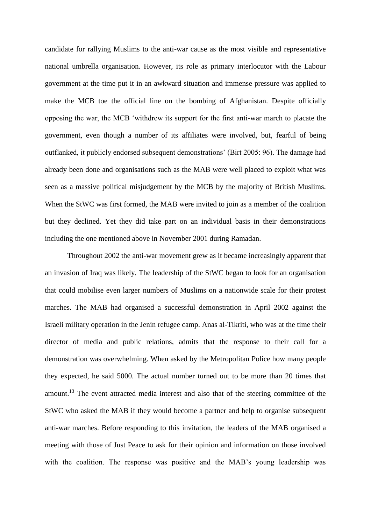candidate for rallying Muslims to the anti-war cause as the most visible and representative national umbrella organisation. However, its role as primary interlocutor with the Labour government at the time put it in an awkward situation and immense pressure was applied to make the MCB toe the official line on the bombing of Afghanistan. Despite officially opposing the war, the MCB 'withdrew its support for the first anti-war march to placate the government, even though a number of its affiliates were involved, but, fearful of being outflanked, it publicly endorsed subsequent demonstrations' (Birt 2005: 96). The damage had already been done and organisations such as the MAB were well placed to exploit what was seen as a massive political misjudgement by the MCB by the majority of British Muslims. When the StWC was first formed, the MAB were invited to join as a member of the coalition but they declined. Yet they did take part on an individual basis in their demonstrations including the one mentioned above in November 2001 during Ramadan.

Throughout 2002 the anti-war movement grew as it became increasingly apparent that an invasion of Iraq was likely. The leadership of the StWC began to look for an organisation that could mobilise even larger numbers of Muslims on a nationwide scale for their protest marches. The MAB had organised a successful demonstration in April 2002 against the Israeli military operation in the Jenin refugee camp. Anas al-Tikriti, who was at the time their director of media and public relations, admits that the response to their call for a demonstration was overwhelming. When asked by the Metropolitan Police how many people they expected, he said 5000. The actual number turned out to be more than 20 times that amount.<sup>13</sup> The event attracted media interest and also that of the steering committee of the StWC who asked the MAB if they would become a partner and help to organise subsequent anti-war marches. Before responding to this invitation, the leaders of the MAB organised a meeting with those of Just Peace to ask for their opinion and information on those involved with the coalition. The response was positive and the MAB's young leadership was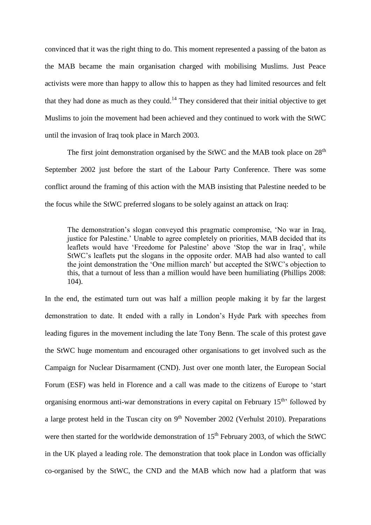convinced that it was the right thing to do. This moment represented a passing of the baton as the MAB became the main organisation charged with mobilising Muslims. Just Peace activists were more than happy to allow this to happen as they had limited resources and felt that they had done as much as they could.<sup>14</sup> They considered that their initial objective to get Muslims to join the movement had been achieved and they continued to work with the StWC until the invasion of Iraq took place in March 2003.

The first joint demonstration organised by the StWC and the MAB took place on  $28<sup>th</sup>$ September 2002 just before the start of the Labour Party Conference. There was some conflict around the framing of this action with the MAB insisting that Palestine needed to be the focus while the StWC preferred slogans to be solely against an attack on Iraq:

The demonstration's slogan conveyed this pragmatic compromise, 'No war in Iraq, justice for Palestine.' Unable to agree completely on priorities, MAB decided that its leaflets would have 'Freedome for Palestine' above 'Stop the war in Iraq', while StWC's leaflets put the slogans in the opposite order. MAB had also wanted to call the joint demonstration the 'One million march' but accepted the StWC's objection to this, that a turnout of less than a million would have been humiliating (Phillips 2008: 104).

In the end, the estimated turn out was half a million people making it by far the largest demonstration to date. It ended with a rally in London's Hyde Park with speeches from leading figures in the movement including the late Tony Benn. The scale of this protest gave the StWC huge momentum and encouraged other organisations to get involved such as the Campaign for Nuclear Disarmament (CND). Just over one month later, the European Social Forum (ESF) was held in Florence and a call was made to the citizens of Europe to 'start organising enormous anti-war demonstrations in every capital on February  $15<sup>th</sup>$  followed by a large protest held in the Tuscan city on  $9<sup>th</sup>$  November 2002 (Verhulst 2010). Preparations were then started for the worldwide demonstration of 15<sup>th</sup> February 2003, of which the StWC in the UK played a leading role. The demonstration that took place in London was officially co-organised by the StWC, the CND and the MAB which now had a platform that was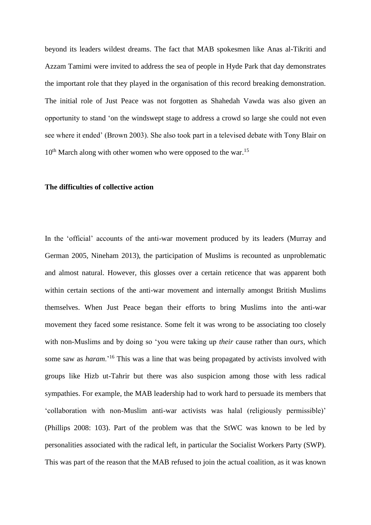beyond its leaders wildest dreams. The fact that MAB spokesmen like Anas al-Tikriti and Azzam Tamimi were invited to address the sea of people in Hyde Park that day demonstrates the important role that they played in the organisation of this record breaking demonstration. The initial role of Just Peace was not forgotten as Shahedah Vawda was also given an opportunity to stand 'on the windswept stage to address a crowd so large she could not even see where it ended' (Brown 2003). She also took part in a televised debate with Tony Blair on  $10<sup>th</sup>$  March along with other women who were opposed to the war.<sup>15</sup>

#### **The difficulties of collective action**

In the 'official' accounts of the anti-war movement produced by its leaders (Murray and German 2005, Nineham 2013), the participation of Muslims is recounted as unproblematic and almost natural. However, this glosses over a certain reticence that was apparent both within certain sections of the anti-war movement and internally amongst British Muslims themselves. When Just Peace began their efforts to bring Muslims into the anti-war movement they faced some resistance. Some felt it was wrong to be associating too closely with non-Muslims and by doing so 'you were taking up *their* cause rather than *ours*, which some saw as *haram*.'<sup>16</sup> This was a line that was being propagated by activists involved with groups like Hizb ut-Tahrir but there was also suspicion among those with less radical sympathies. For example, the MAB leadership had to work hard to persuade its members that 'collaboration with non-Muslim anti-war activists was halal (religiously permissible)' (Phillips 2008: 103). Part of the problem was that the StWC was known to be led by personalities associated with the radical left, in particular the Socialist Workers Party (SWP). This was part of the reason that the MAB refused to join the actual coalition, as it was known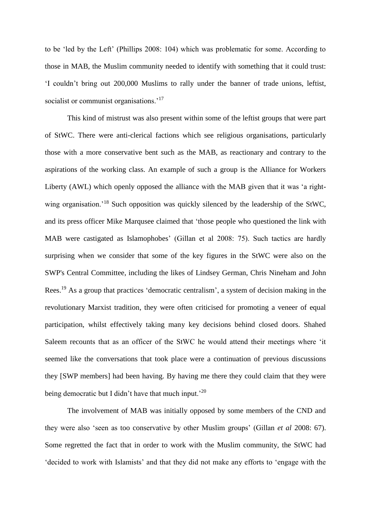to be 'led by the Left' (Phillips 2008: 104) which was problematic for some. According to those in MAB, the Muslim community needed to identify with something that it could trust: 'I couldn't bring out 200,000 Muslims to rally under the banner of trade unions, leftist, socialist or communist organisations.<sup>'17</sup>

This kind of mistrust was also present within some of the leftist groups that were part of StWC. There were anti-clerical factions which see religious organisations, particularly those with a more conservative bent such as the MAB, as reactionary and contrary to the aspirations of the working class. An example of such a group is the Alliance for Workers Liberty (AWL) which openly opposed the alliance with the MAB given that it was 'a rightwing organisation.<sup>'18</sup> Such opposition was quickly silenced by the leadership of the StWC, and its press officer Mike Marqusee claimed that 'those people who questioned the link with MAB were castigated as Islamophobes' (Gillan et al 2008: 75). Such tactics are hardly surprising when we consider that some of the key figures in the StWC were also on the SWP's Central Committee, including the likes of Lindsey German, Chris Nineham and John Rees.<sup>19</sup> As a group that practices 'democratic centralism', a system of decision making in the revolutionary Marxist tradition, they were often criticised for promoting a veneer of equal participation, whilst effectively taking many key decisions behind closed doors. Shahed Saleem recounts that as an officer of the StWC he would attend their meetings where 'it seemed like the conversations that took place were a continuation of previous discussions they [SWP members] had been having. By having me there they could claim that they were being democratic but I didn't have that much input.<sup>20</sup>

The involvement of MAB was initially opposed by some members of the CND and they were also 'seen as too conservative by other Muslim groups' (Gillan *et al* 2008: 67). Some regretted the fact that in order to work with the Muslim community, the StWC had 'decided to work with Islamists' and that they did not make any efforts to 'engage with the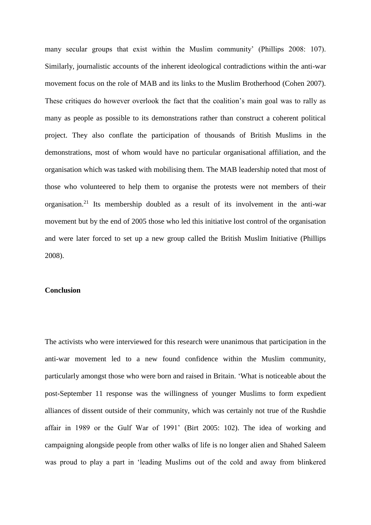many secular groups that exist within the Muslim community' (Phillips 2008: 107). Similarly, journalistic accounts of the inherent ideological contradictions within the anti-war movement focus on the role of MAB and its links to the Muslim Brotherhood (Cohen 2007). These critiques do however overlook the fact that the coalition's main goal was to rally as many as people as possible to its demonstrations rather than construct a coherent political project. They also conflate the participation of thousands of British Muslims in the demonstrations, most of whom would have no particular organisational affiliation, and the organisation which was tasked with mobilising them. The MAB leadership noted that most of those who volunteered to help them to organise the protests were not members of their organisation.<sup>21</sup> Its membership doubled as a result of its involvement in the anti-war movement but by the end of 2005 those who led this initiative lost control of the organisation and were later forced to set up a new group called the British Muslim Initiative (Phillips 2008).

# **Conclusion**

The activists who were interviewed for this research were unanimous that participation in the anti-war movement led to a new found confidence within the Muslim community, particularly amongst those who were born and raised in Britain. 'What is noticeable about the post-September 11 response was the willingness of younger Muslims to form expedient alliances of dissent outside of their community, which was certainly not true of the Rushdie affair in 1989 or the Gulf War of 1991' (Birt 2005: 102). The idea of working and campaigning alongside people from other walks of life is no longer alien and Shahed Saleem was proud to play a part in 'leading Muslims out of the cold and away from blinkered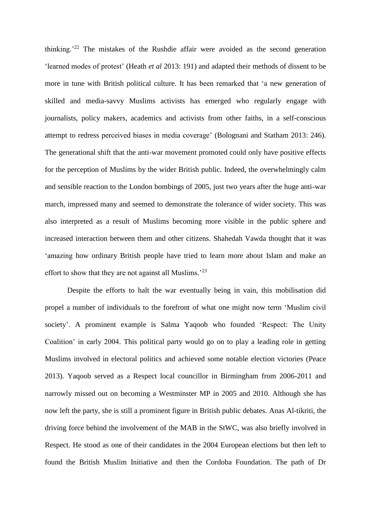thinking.'<sup>22</sup> The mistakes of the Rushdie affair were avoided as the second generation 'learned modes of protest' (Heath *et al* 2013: 191) and adapted their methods of dissent to be more in tune with British political culture. It has been remarked that 'a new generation of skilled and media-savvy Muslims activists has emerged who regularly engage with journalists, policy makers, academics and activists from other faiths, in a self-conscious attempt to redress perceived biases in media coverage' (Bolognani and Statham 2013: 246). The generational shift that the anti-war movement promoted could only have positive effects for the perception of Muslims by the wider British public. Indeed, the overwhelmingly calm and sensible reaction to the London bombings of 2005, just two years after the huge anti-war march, impressed many and seemed to demonstrate the tolerance of wider society. This was also interpreted as a result of Muslims becoming more visible in the public sphere and increased interaction between them and other citizens. Shahedah Vawda thought that it was 'amazing how ordinary British people have tried to learn more about Islam and make an effort to show that they are not against all Muslims.<sup>223</sup>

Despite the efforts to halt the war eventually being in vain, this mobilisation did propel a number of individuals to the forefront of what one might now term 'Muslim civil society'. A prominent example is Salma Yaqoob who founded 'Respect: The Unity Coalition' in early 2004. This political party would go on to play a leading role in getting Muslims involved in electoral politics and achieved some notable election victories (Peace 2013). Yaqoob served as a Respect local councillor in Birmingham from 2006-2011 and narrowly missed out on becoming a Westminster MP in 2005 and 2010. Although she has now left the party, she is still a prominent figure in British public debates. Anas Al-tikriti, the driving force behind the involvement of the MAB in the StWC, was also briefly involved in Respect. He stood as one of their candidates in the 2004 European elections but then left to found the British Muslim Initiative and then the Cordoba Foundation. The path of Dr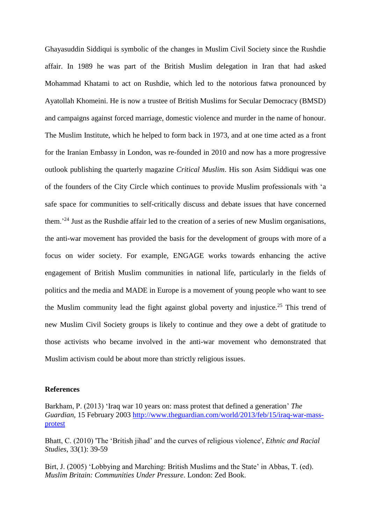Ghayasuddin Siddiqui is symbolic of the changes in Muslim Civil Society since the Rushdie affair. In 1989 he was part of the British Muslim delegation in Iran that had asked Mohammad Khatami to act on Rushdie, which led to the notorious fatwa pronounced by Ayatollah Khomeini. He is now a trustee of British Muslims for Secular Democracy (BMSD) and campaigns against forced marriage, domestic violence and murder in the name of honour. The Muslim Institute, which he helped to form back in 1973, and at one time acted as a front for the Iranian Embassy in London, was re-founded in 2010 and now has a more progressive outlook publishing the quarterly magazine *Critical Muslim*. His son Asim Siddiqui was one of the founders of the City Circle which continues to provide Muslim professionals with 'a safe space for communities to self-critically discuss and debate issues that have concerned them.'<sup>24</sup> Just as the Rushdie affair led to the creation of a series of new Muslim organisations, the anti-war movement has provided the basis for the development of groups with more of a focus on wider society. For example, ENGAGE works towards enhancing the active engagement of British Muslim communities in national life, particularly in the fields of politics and the media and MADE in Europe is a movement of young people who want to see the Muslim community lead the fight against global poverty and injustice.<sup>25</sup> This trend of new Muslim Civil Society groups is likely to continue and they owe a debt of gratitude to those activists who became involved in the anti-war movement who demonstrated that Muslim activism could be about more than strictly religious issues.

## **References**

Barkham, P. (2013) 'Iraq war 10 years on: mass protest that defined a generation' *The Guardian*, 15 February 2003 [http://www.theguardian.com/world/2013/feb/15/iraq-war-mass](http://www.theguardian.com/world/2013/feb/15/iraq-war-mass-protest)[protest](http://www.theguardian.com/world/2013/feb/15/iraq-war-mass-protest)

Bhatt, C. (2010) 'The 'British jihad' and the curves of religious violence', *Ethnic and Racial Studies*, 33(1): 39-59

Birt, J. (2005) 'Lobbying and Marching: British Muslims and the State' in Abbas, T. (ed). *Muslim Britain: Communities Under Pressure*. London: Zed Book.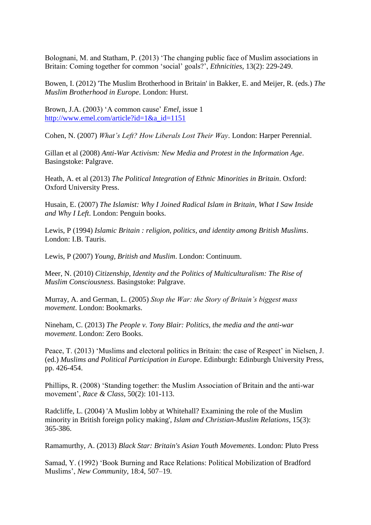Bolognani, M. and Statham, P. (2013) 'The changing public face of Muslim associations in Britain: Coming together for common 'social' goals?', *Ethnicities*, 13(2): 229-249.

Bowen, I. (2012) 'The Muslim Brotherhood in Britain' in Bakker, E. and Meijer, R. (eds.) *The Muslim Brotherhood in Europe*. London: Hurst.

Brown, J.A. (2003) 'A common cause' *Emel*, issue 1 [http://www.emel.com/article?id=1&a\\_id=1151](http://www.emel.com/article?id=1&a_id=1151)

Cohen, N. (2007) *What's Left? How Liberals Lost Their Way*. London: Harper Perennial.

Gillan et al (2008) *Anti-War Activism: New Media and Protest in the Information Age*. Basingstoke: Palgrave.

Heath, A. et al (2013) *The Political Integration of Ethnic Minorities in Britain*. Oxford: Oxford University Press.

Husain, E. (2007) *The Islamist: Why I Joined Radical Islam in Britain, What I Saw Inside and Why I Left*. London: Penguin books.

Lewis, P (1994) *Islamic Britain : religion, politics, and identity among British Muslims*. London: I.B. Tauris.

Lewis, P (2007) *Young, British and Muslim*. London: Continuum.

Meer, N. (2010) *Citizenship, Identity and the Politics of Multiculturalism: The Rise of Muslim Consciousness*. Basingstoke: Palgrave.

Murray, A. and German, L. (2005) *Stop the War: the Story of Britain's biggest mass movement*. London: Bookmarks.

Nineham, C. (2013) *The People v. Tony Blair: Politics, the media and the anti-war movement*. London: Zero Books.

Peace, T. (2013) 'Muslims and electoral politics in Britain: the case of Respect' in Nielsen, J. (ed.) *Muslims and Political Participation in Europe*. Edinburgh: Edinburgh University Press, pp. 426-454.

Phillips, R. (2008) 'Standing together: the Muslim Association of Britain and the anti-war movement', *Race & Class*, 50(2): 101-113.

Radcliffe, L. (2004) 'A Muslim lobby at Whitehall? Examining the role of the Muslim minority in British foreign policy making', *Islam and Christian-Muslim Relations*, 15(3): 365-386.

Ramamurthy, A. (2013) *Black Star: Britain's Asian Youth Movements*. London: Pluto Press

Samad, Y. (1992) 'Book Burning and Race Relations: Political Mobilization of Bradford Muslims', *New Community*, 18:4, 507–19.